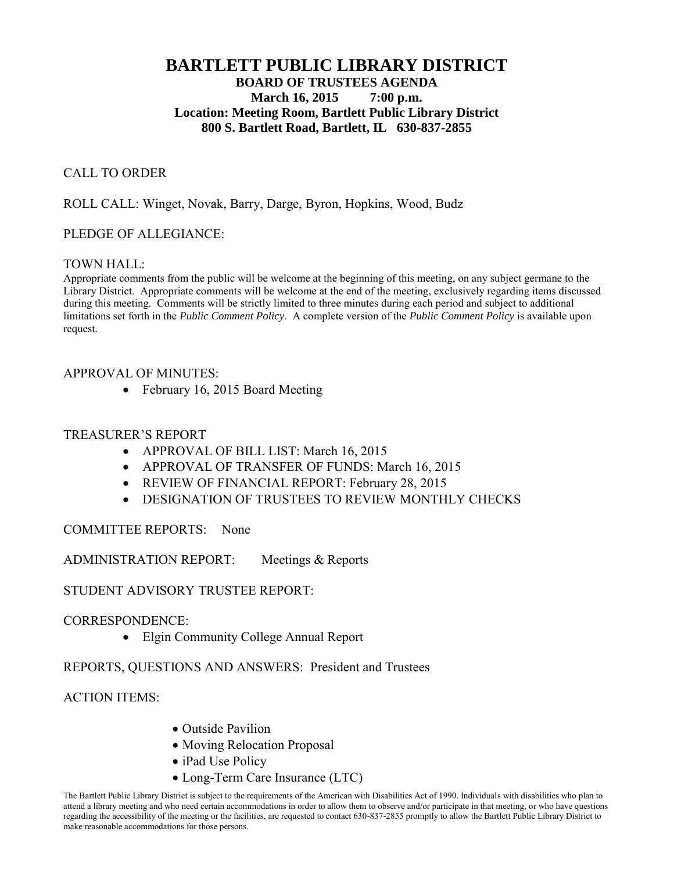# **BARTLETT PUBLIC LIBRARY DISTRICT BOARD OF TRUSTEES AGENDA March 16, 2015 7:00 p.m. Location: Meeting Room, Bartlett Public Library District 800 S. Bartlett Road, Bartlett, IL 630-837-2855**

### CALL TO ORDER

ROLL CALL: Winget, Novak, Barry, Darge, Byron, Hopkins, Wood, Budz

#### PLEDGE OF ALLEGIANCE:

#### TOWN HALL:

Appropriate comments from the public will be welcome at the beginning of this meeting, on any subject germane to the Library District. Appropriate comments will be welcome at the end of the meeting, exclusively regarding items discussed during this meeting. Comments will be strictly limited to three minutes during each period and subject to additional limitations set forth in the *Public Comment Policy*. A complete version of the *Public Comment Policy* is available upon request.

#### APPROVAL OF MINUTES:

• February 16, 2015 Board Meeting

#### TREASURER'S REPORT

- APPROVAL OF BILL LIST: March 16, 2015
- APPROVAL OF TRANSFER OF FUNDS: March 16, 2015
- REVIEW OF FINANCIAL REPORT: February 28, 2015
- DESIGNATION OF TRUSTEES TO REVIEW MONTHLY CHECKS

COMMITTEE REPORTS: None

ADMINISTRATION REPORT: Meetings & Reports

STUDENT ADVISORY TRUSTEE REPORT:

CORRESPONDENCE:

• Elgin Community College Annual Report

REPORTS, QUESTIONS AND ANSWERS: President and Trustees

ACTION ITEMS:

- Outside Pavilion
- Moving Relocation Proposal
- iPad Use Policy
- Long-Term Care Insurance (LTC)

The Bartlett Public Library District is subject to the requirements of the American with Disabilities Act of 1990. Individuals with disabilities who plan to attend a library meeting and who need certain accommodations in order to allow them to observe and/or participate in that meeting, or who have questions regarding the accessibility of the meeting or the facilities, are requested to contact 630-837-2855 promptly to allow the Bartlett Public Library District to make reasonable accommodations for those persons.